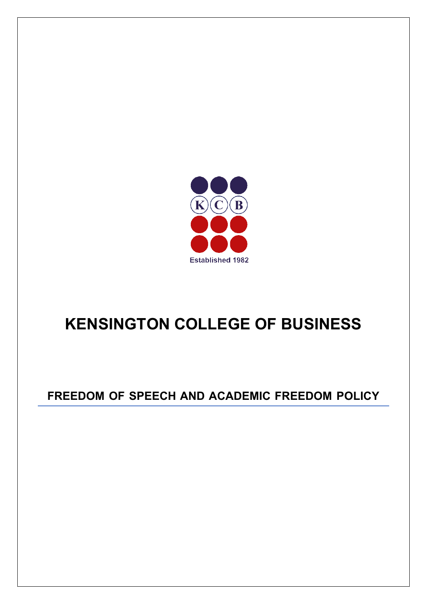

# **KENSINGTON COLLEGE OF BUSINESS**

## **FREEDOM OF SPEECH AND ACADEMIC FREEDOM POLICY**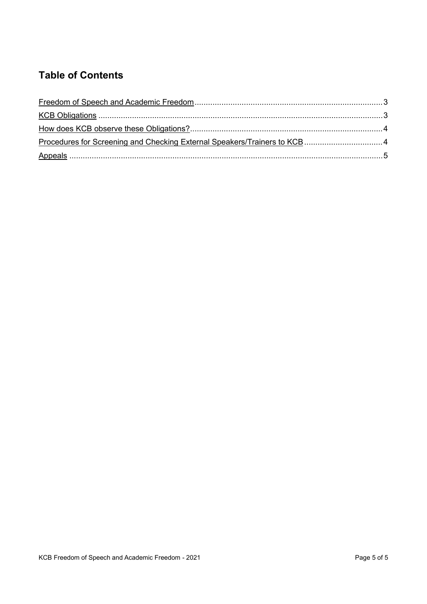### **Table of Contents**

| Procedures for Screening and Checking External Speakers/Trainers to KCB 4 |  |
|---------------------------------------------------------------------------|--|
|                                                                           |  |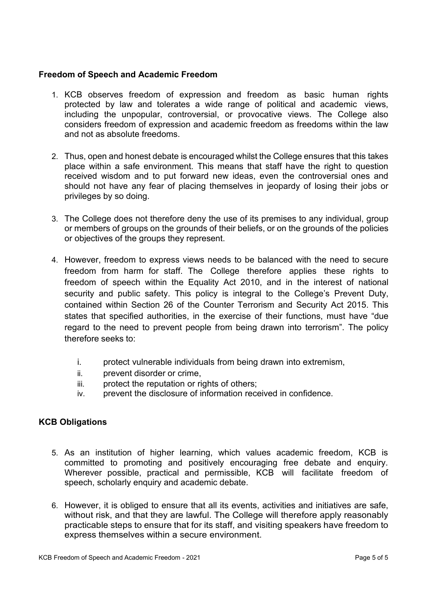#### <span id="page-2-0"></span>**Freedom of Speech and Academic Freedom**

- 1. KCB observes freedom of expression and freedom as basic human rights protected by law and tolerates a wide range of political and academic views, including the unpopular, controversial, or provocative views. The College also considers freedom of expression and academic freedom as freedoms within the law and not as absolute freedoms.
- 2. Thus, open and honest debate is encouraged whilst the College ensures that this takes place within a safe environment. This means that staff have the right to question received wisdom and to put forward new ideas, even the controversial ones and should not have any fear of placing themselves in jeopardy of losing their jobs or privileges by so doing.
- 3. The College does not therefore deny the use of its premises to any individual, group or members of groups on the grounds of their beliefs, or on the grounds of the policies or objectives of the groups they represent.
- 4. However, freedom to express views needs to be balanced with the need to secure freedom from harm for staff. The College therefore applies these rights to freedom of speech within the Equality Act 2010, and in the interest of national security and public safety. This policy is integral to the College's Prevent Duty, contained within Section 26 of the Counter Terrorism and Security Act 2015. This states that specified authorities, in the exercise of their functions, must have "due regard to the need to prevent people from being drawn into terrorism". The policy therefore seeks to:
	- i. protect vulnerable individuals from being drawn into extremism,
	- ii. prevent disorder or crime.
	- iii. protect the reputation or rights of others;
	- iv. prevent the disclosure of information received in confidence.

#### <span id="page-2-1"></span>**KCB Obligations**

- 5. As an institution of higher learning, which values academic freedom, KCB is committed to promoting and positively encouraging free debate and enquiry. Wherever possible, practical and permissible, KCB will facilitate freedom of speech, scholarly enquiry and academic debate.
- 6. However, it is obliged to ensure that all its events, activities and initiatives are safe, without risk, and that they are lawful. The College will therefore apply reasonably practicable steps to ensure that for its staff, and visiting speakers have freedom to express themselves within a secure environment.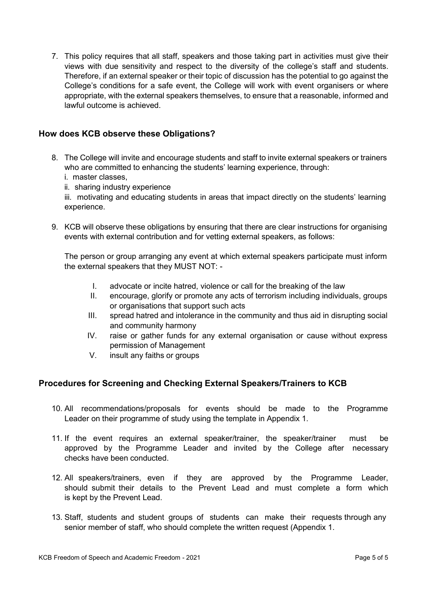7. This policy requires that all staff, speakers and those taking part in activities must give their views with due sensitivity and respect to the diversity of the college's staff and students. Therefore, if an external speaker or their topic of discussion has the potential to go against the College's conditions for a safe event, the College will work with event organisers or where appropriate, with the external speakers themselves, to ensure that a reasonable, informed and lawful outcome is achieved.

#### <span id="page-3-0"></span>**How does KCB observe these Obligations?**

- 8. The College will invite and encourage students and staff to invite external speakers or trainers who are committed to enhancing the students' learning experience, through:
	- i. master classes,
	- ii. sharing industry experience

iii. motivating and educating students in areas that impact directly on the students' learning experience.

9. KCB will observe these obligations by ensuring that there are clear instructions for organising events with external contribution and for vetting external speakers, as follows:

The person or group arranging any event at which external speakers participate must inform the external speakers that they MUST NOT: -

- I. advocate or incite hatred, violence or call for the breaking of the law
- II. encourage, glorify or promote any acts of terrorism including individuals, groups or organisations that support such acts
- III. spread hatred and intolerance in the community and thus aid in disrupting social and community harmony
- IV. raise or gather funds for any external organisation or cause without express permission of Management
- V. insult any faiths or groups

#### <span id="page-3-1"></span>**Procedures for Screening and Checking External Speakers/Trainers to KCB**

- 10. All recommendations/proposals for events should be made to the Programme Leader on their programme of study using the template in Appendix 1.
- 11. If the event requires an external speaker/trainer, the speaker/trainer must be approved by the Programme Leader and invited by the College after necessary checks have been conducted.
- 12. All speakers/trainers, even if they are approved by the Programme Leader, should submit their details to the Prevent Lead and must complete a form which is kept by the Prevent Lead.
- 13. Staff, students and student groups of students can make their requests through any senior member of staff, who should complete the written request (Appendix 1.